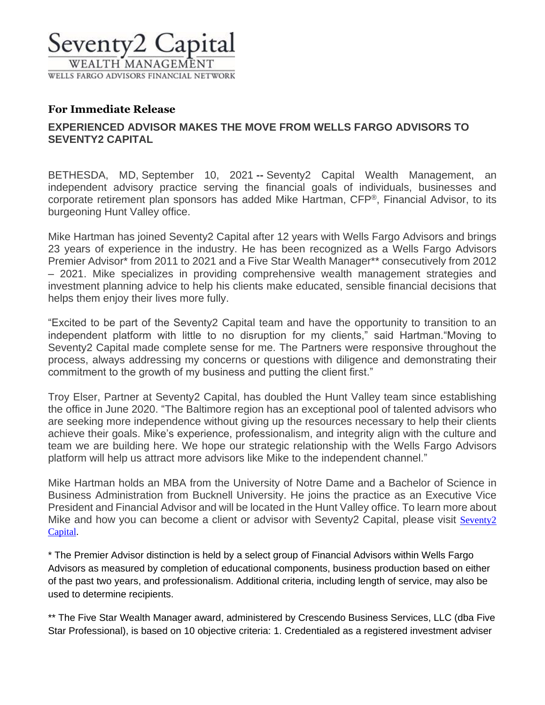

## **For Immediate Release**

# **EXPERIENCED ADVISOR MAKES THE MOVE FROM WELLS FARGO ADVISORS TO SEVENTY2 CAPITAL**

BETHESDA, MD, September 10, 2021 **--** Seventy2 Capital Wealth Management, an independent advisory practice serving the financial goals of individuals, businesses and corporate retirement plan sponsors has added Mike Hartman, CFP®, Financial Advisor, to its burgeoning Hunt Valley office.

Mike Hartman has joined Seventy2 Capital after 12 years with Wells Fargo Advisors and brings 23 years of experience in the industry. He has been recognized as a Wells Fargo Advisors Premier Advisor\* from 2011 to 2021 and a Five Star Wealth Manager\*\* consecutively from 2012 – 2021. Mike specializes in providing comprehensive wealth management strategies and investment planning advice to help his clients make educated, sensible financial decisions that helps them enjoy their lives more fully.

"Excited to be part of the Seventy2 Capital team and have the opportunity to transition to an independent platform with little to no disruption for my clients," said Hartman."Moving to Seventy2 Capital made complete sense for me. The Partners were responsive throughout the process, always addressing my concerns or questions with diligence and demonstrating their commitment to the growth of my business and putting the client first."

Troy Elser, Partner at Seventy2 Capital, has doubled the Hunt Valley team since establishing the office in June 2020. "The Baltimore region has an exceptional pool of talented advisors who are seeking more independence without giving up the resources necessary to help their clients achieve their goals. Mike's experience, professionalism, and integrity align with the culture and team we are building here. We hope our strategic relationship with the Wells Fargo Advisors platform will help us attract more advisors like Mike to the independent channel."

Mike Hartman holds an MBA from the University of Notre Dame and a Bachelor of Science in Business Administration from Bucknell University. He joins the practice as an Executive Vice President and Financial Advisor and will be located in the Hunt Valley office. To learn more about Mike and how you can become a client or advisor with [Seventy2](http://www.seventycapital.com/) Capital, please visit Seventy2 [Capital.](http://www.seventycapital.com/)

\* The Premier Advisor distinction is held by a select group of Financial Advisors within Wells Fargo Advisors as measured by completion of educational components, business production based on either of the past two years, and professionalism. Additional criteria, including length of service, may also be used to determine recipients.

\*\* The Five Star Wealth Manager award, administered by Crescendo Business Services, LLC (dba Five Star Professional), is based on 10 objective criteria: 1. Credentialed as a registered investment adviser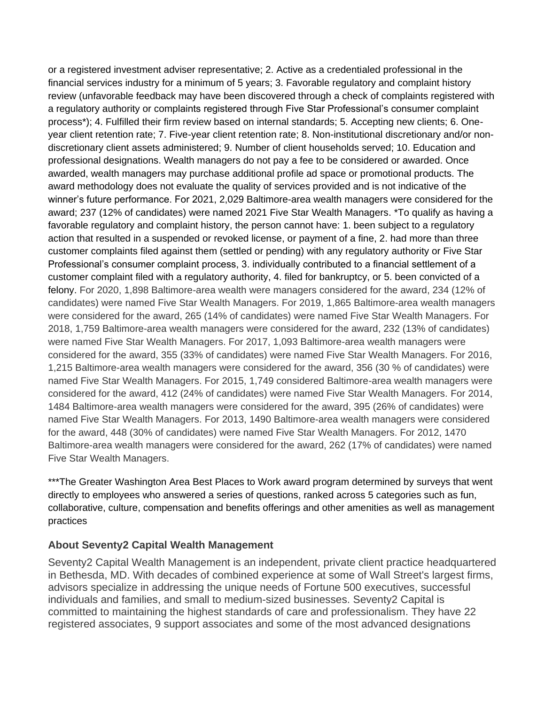or a registered investment adviser representative; 2. Active as a credentialed professional in the financial services industry for a minimum of 5 years; 3. Favorable regulatory and complaint history review (unfavorable feedback may have been discovered through a check of complaints registered with a regulatory authority or complaints registered through Five Star Professional's consumer complaint process\*); 4. Fulfilled their firm review based on internal standards; 5. Accepting new clients; 6. Oneyear client retention rate; 7. Five-year client retention rate; 8. Non-institutional discretionary and/or nondiscretionary client assets administered; 9. Number of client households served; 10. Education and professional designations. Wealth managers do not pay a fee to be considered or awarded. Once awarded, wealth managers may purchase additional profile ad space or promotional products. The award methodology does not evaluate the quality of services provided and is not indicative of the winner's future performance. For 2021, 2,029 Baltimore-area wealth managers were considered for the award; 237 (12% of candidates) were named 2021 Five Star Wealth Managers. \*To qualify as having a favorable regulatory and complaint history, the person cannot have: 1. been subject to a regulatory action that resulted in a suspended or revoked license, or payment of a fine, 2. had more than three customer complaints filed against them (settled or pending) with any regulatory authority or Five Star Professional's consumer complaint process, 3. individually contributed to a financial settlement of a customer complaint filed with a regulatory authority, 4. filed for bankruptcy, or 5. been convicted of a felony. For 2020, 1,898 Baltimore-area wealth were managers considered for the award, 234 (12% of candidates) were named Five Star Wealth Managers. For 2019, 1,865 Baltimore-area wealth managers were considered for the award, 265 (14% of candidates) were named Five Star Wealth Managers. For 2018, 1,759 Baltimore-area wealth managers were considered for the award, 232 (13% of candidates) were named Five Star Wealth Managers. For 2017, 1,093 Baltimore-area wealth managers were considered for the award, 355 (33% of candidates) were named Five Star Wealth Managers. For 2016, 1,215 Baltimore-area wealth managers were considered for the award, 356 (30 % of candidates) were named Five Star Wealth Managers. For 2015, 1,749 considered Baltimore-area wealth managers were considered for the award, 412 (24% of candidates) were named Five Star Wealth Managers. For 2014, 1484 Baltimore-area wealth managers were considered for the award, 395 (26% of candidates) were named Five Star Wealth Managers. For 2013, 1490 Baltimore-area wealth managers were considered for the award, 448 (30% of candidates) were named Five Star Wealth Managers. For 2012, 1470 Baltimore-area wealth managers were considered for the award, 262 (17% of candidates) were named Five Star Wealth Managers.

\*\*\*The Greater Washington Area Best Places to Work award program determined by surveys that went directly to employees who answered a series of questions, ranked across 5 categories such as fun, collaborative, culture, compensation and benefits offerings and other amenities as well as management practices

#### **About Seventy2 Capital Wealth Management**

Seventy2 Capital Wealth Management is an independent, private client practice headquartered in Bethesda, MD. With decades of combined experience at some of Wall Street's largest firms, advisors specialize in addressing the unique needs of Fortune 500 executives, successful individuals and families, and small to medium-sized businesses. Seventy2 Capital is committed to maintaining the highest standards of care and professionalism. They have 22 registered associates, 9 support associates and some of the most advanced designations